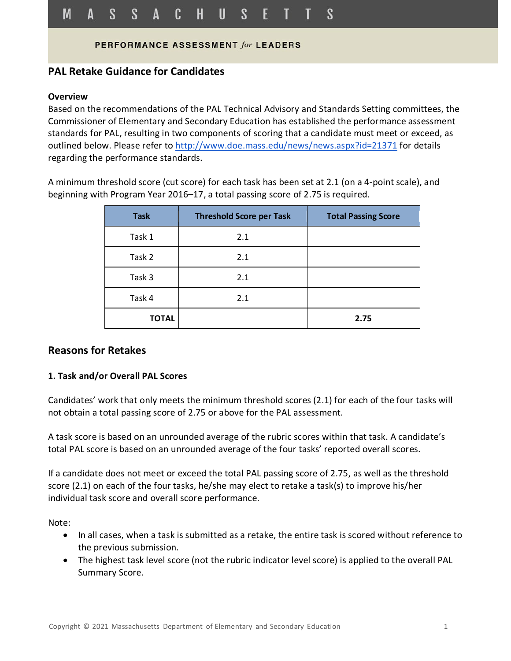### PERFORMANCE ASSESSMENT for LEADERS

# **PAL Retake Guidance for Candidates**

#### **Overview**

Based on the recommendations of the PAL Technical Advisory and Standards Setting committees, the Commissioner of Elementary and Secondary Education has established the performance assessment standards for PAL, resulting in two components of scoring that a candidate must meet or exceed, as outlined below. Please refer to<http://www.doe.mass.edu/news/news.aspx?id=21371> for details regarding the performance standards.

A minimum threshold score (cut score) for each task has been set at 2.1 (on a 4-point scale), and beginning with Program Year 2016–17, a total passing score of 2.75 is required.

| <b>Task</b>  | <b>Threshold Score per Task</b> | <b>Total Passing Score</b> |
|--------------|---------------------------------|----------------------------|
| Task 1       | 2.1                             |                            |
| Task 2       | 2.1                             |                            |
| Task 3       | 2.1                             |                            |
| Task 4       | 2.1                             |                            |
| <b>TOTAL</b> |                                 | 2.75                       |

## **Reasons for Retakes**

### **1. Task and/or Overall PAL Scores**

Candidates' work that only meets the minimum threshold scores (2.1) for each of the four tasks will not obtain a total passing score of 2.75 or above for the PAL assessment.

A task score is based on an unrounded average of the rubric scores within that task. A candidate's total PAL score is based on an unrounded average of the four tasks' reported overall scores.

If a candidate does not meet or exceed the total PAL passing score of 2.75, as well as the threshold score (2.1) on each of the four tasks, he/she may elect to retake a task(s) to improve his/her individual task score and overall score performance.

Note:

- In all cases, when a task is submitted as a retake, the entire task is scored without reference to the previous submission.
- The highest task level score (not the rubric indicator level score) is applied to the overall PAL Summary Score.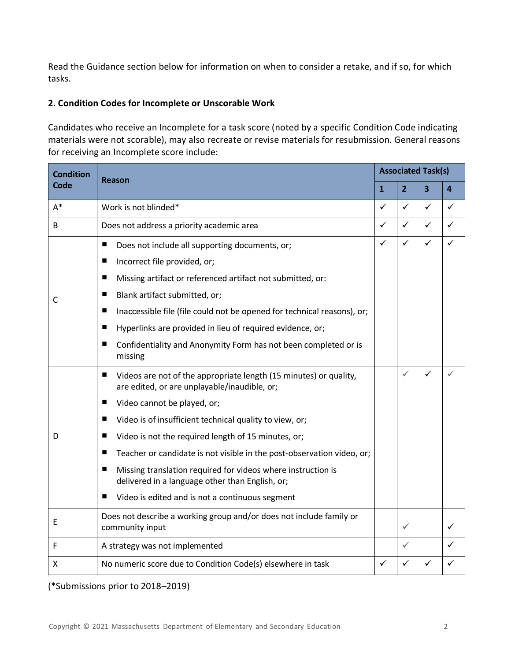Read the Guidance section below for information on when to consider a retake, and if so, for which tasks.

### **2. Condition Codes for Incomplete or Unscorable Work**

Candidates who receive an Incomplete for a task score (noted by a specific Condition Code indicating materials were not scorable), may also recreate or revise materials for resubmission. General reasons for receiving an Incomplete score include:

| <b>Condition</b> | Reason                                                                                                                 |              | <b>Associated Task(s)</b> |                         |                         |  |
|------------------|------------------------------------------------------------------------------------------------------------------------|--------------|---------------------------|-------------------------|-------------------------|--|
| <b>Code</b>      |                                                                                                                        |              | $\overline{2}$            | $\overline{\mathbf{3}}$ | $\overline{\mathbf{4}}$ |  |
| $A^*$            | Work is not blinded*                                                                                                   |              | ✓                         | ✓                       | ✓                       |  |
| B                | Does not address a priority academic area                                                                              |              | $\checkmark$              | $\checkmark$            | $\checkmark$            |  |
| C                | п<br>Does not include all supporting documents, or;                                                                    | $\checkmark$ | $\checkmark$              | $\checkmark$            | ✓                       |  |
|                  | Incorrect file provided, or;<br>п                                                                                      |              |                           |                         |                         |  |
|                  | Missing artifact or referenced artifact not submitted, or:<br>■                                                        |              |                           |                         |                         |  |
|                  | Blank artifact submitted, or;<br>ш                                                                                     |              |                           |                         |                         |  |
|                  | Inaccessible file (file could not be opened for technical reasons), or;<br>п                                           |              |                           |                         |                         |  |
|                  | Hyperlinks are provided in lieu of required evidence, or;<br>п                                                         |              |                           |                         |                         |  |
|                  | Confidentiality and Anonymity Form has not been completed or is<br>■<br>missing                                        |              |                           |                         |                         |  |
| D                | п<br>Videos are not of the appropriate length (15 minutes) or quality,<br>are edited, or are unplayable/inaudible, or; |              | $\checkmark$              | ✓                       | ✓                       |  |
|                  | Video cannot be played, or;<br>п                                                                                       |              |                           |                         |                         |  |
|                  | Video is of insufficient technical quality to view, or;<br>■                                                           |              |                           |                         |                         |  |
|                  | Video is not the required length of 15 minutes, or;<br>ш                                                               |              |                           |                         |                         |  |
|                  | Teacher or candidate is not visible in the post-observation video, or;<br>ш                                            |              |                           |                         |                         |  |
|                  | Missing translation required for videos where instruction is<br>■<br>delivered in a language other than English, or;   |              |                           |                         |                         |  |
|                  | Video is edited and is not a continuous segment<br>■                                                                   |              |                           |                         |                         |  |
| E                | Does not describe a working group and/or does not include family or<br>community input                                 |              | ✓                         |                         | ✓                       |  |
| F                | A strategy was not implemented                                                                                         |              | ✓                         |                         | ✓                       |  |
| X                | No numeric score due to Condition Code(s) elsewhere in task                                                            |              | ✓                         | ✓                       | ✓                       |  |

(\*Submissions prior to 2018–2019)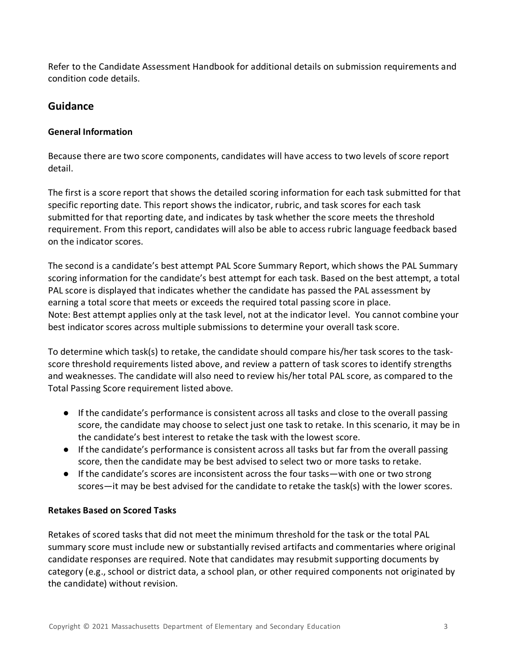Refer to the Candidate Assessment Handbook for additional details on submission requirements and condition code details.

# **Guidance**

# **General Information**

Because there are two score components, candidates will have access to two levels of score report detail.

The first is a score report that shows the detailed scoring information for each task submitted for that specific reporting date. This report shows the indicator, rubric, and task scores for each task submitted for that reporting date, and indicates by task whether the score meets the threshold requirement. From this report, candidates will also be able to access rubric language feedback based on the indicator scores.

The second is a candidate's best attempt PAL Score Summary Report, which shows the PAL Summary scoring information for the candidate's best attempt for each task. Based on the best attempt, a total PAL score is displayed that indicates whether the candidate has passed the PAL assessment by earning a total score that meets or exceeds the required total passing score in place. Note: Best attempt applies only at the task level, not at the indicator level. You cannot combine your best indicator scores across multiple submissions to determine your overall task score.

To determine which task(s) to retake, the candidate should compare his/her task scores to the taskscore threshold requirements listed above, and review a pattern of task scores to identify strengths and weaknesses. The candidate will also need to review his/her total PAL score, as compared to the Total Passing Score requirement listed above.

- If the candidate's performance is consistent across all tasks and close to the overall passing score, the candidate may choose to select just one task to retake. In this scenario, it may be in the candidate's best interest to retake the task with the lowest score.
- If the candidate's performance is consistent across all tasks but far from the overall passing score, then the candidate may be best advised to select two or more tasks to retake.
- If the candidate's scores are inconsistent across the four tasks—with one or two strong scores—it may be best advised for the candidate to retake the task(s) with the lower scores.

# **Retakes Based on Scored Tasks**

Retakes of scored tasks that did not meet the minimum threshold for the task or the total PAL summary score must include new or substantially revised artifacts and commentaries where original candidate responses are required. Note that candidates may resubmit supporting documents by category (e.g., school or district data, a school plan, or other required components not originated by the candidate) without revision.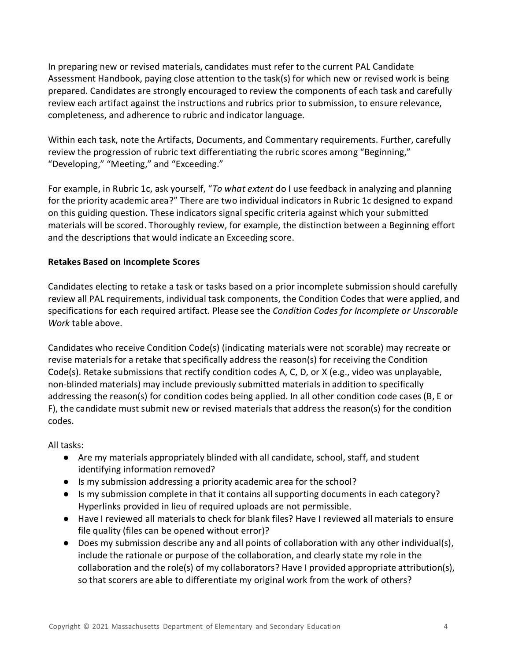In preparing new or revised materials, candidates must refer to the current PAL Candidate Assessment Handbook, paying close attention to the task(s) for which new or revised work is being prepared. Candidates are strongly encouraged to review the components of each task and carefully review each artifact against the instructions and rubrics prior to submission, to ensure relevance, completeness, and adherence to rubric and indicator language.

Within each task, note the Artifacts, Documents, and Commentary requirements. Further, carefully review the progression of rubric text differentiating the rubric scores among "Beginning," "Developing," "Meeting," and "Exceeding."

For example, in Rubric 1c, ask yourself, "*To what extent* do I use feedback in analyzing and planning for the priority academic area?" There are two individual indicators in Rubric 1c designed to expand on this guiding question. These indicators signal specific criteria against which your submitted materials will be scored. Thoroughly review, for example, the distinction between a Beginning effort and the descriptions that would indicate an Exceeding score.

### **Retakes Based on Incomplete Scores**

Candidates electing to retake a task or tasks based on a prior incomplete submission should carefully review all PAL requirements, individual task components, the Condition Codes that were applied, and specifications for each required artifact. Please see the *Condition Codes for Incomplete or Unscorable Work* table above.

Candidates who receive Condition Code(s) (indicating materials were not scorable) may recreate or revise materials for a retake that specifically address the reason(s) for receiving the Condition Code(s). Retake submissions that rectify condition codes A, C, D, or X (e.g., video was unplayable, non-blinded materials) may include previously submitted materials in addition to specifically addressing the reason(s) for condition codes being applied. In all other condition code cases (B, E or F), the candidate must submit new or revised materials that address the reason(s) for the condition codes.

All tasks:

- Are my materials appropriately blinded with all candidate, school, staff, and student identifying information removed?
- Is my submission addressing a priority academic area for the school?
- Is my submission complete in that it contains all supporting documents in each category? Hyperlinks provided in lieu of required uploads are not permissible.
- Have I reviewed all materials to check for blank files? Have I reviewed all materials to ensure file quality (files can be opened without error)?
- Does my submission describe any and all points of collaboration with any other individual(s), include the rationale or purpose of the collaboration, and clearly state my role in the collaboration and the role(s) of my collaborators? Have I provided appropriate attribution(s), so that scorers are able to differentiate my original work from the work of others?